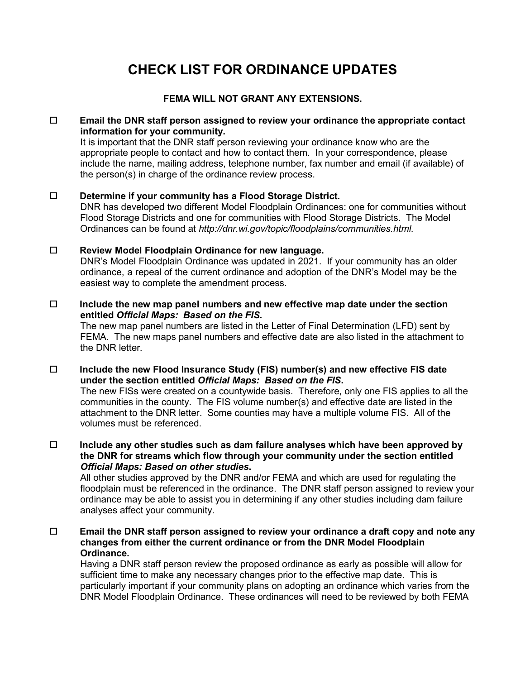# **CHECK LIST FOR ORDINANCE UPDATES**

# **FEMA WILL NOT GRANT ANY EXTENSIONS.**

#### **Email the DNR staff person assigned to review your ordinance the appropriate contact information for your community.**

It is important that the DNR staff person reviewing your ordinance know who are the appropriate people to contact and how to contact them. In your correspondence, please include the name, mailing address, telephone number, fax number and email (if available) of the person(s) in charge of the ordinance review process.

## **Determine if your community has a Flood Storage District.**

DNR has developed two different Model Floodplain Ordinances: one for communities without Flood Storage Districts and one for communities with Flood Storage Districts. The Model Ordinances can be found at *[http://dnr.wi.gov/topic/floodplains/communities.html.](http://dnr.wi.gov/topic/floodplains/communities.html)*

## **Review Model Floodplain Ordinance for new language.**

DNR's Model Floodplain Ordinance was updated in 2021. If your community has an older ordinance, a repeal of the current ordinance and adoption of the DNR's Model may be the easiest way to complete the amendment process.

#### **Include the new map panel numbers and new effective map date under the section entitled** *Official Maps: Based on the FIS***.**

The new map panel numbers are listed in the Letter of Final Determination (LFD) sent by FEMA. The new maps panel numbers and effective date are also listed in the attachment to the DNR letter.

#### **Include the new Flood Insurance Study (FIS) number(s) and new effective FIS date under the section entitled** *Official Maps: Based on the FIS***.**

The new FISs were created on a countywide basis. Therefore, only one FIS applies to all the communities in the county. The FIS volume number(s) and effective date are listed in the attachment to the DNR letter. Some counties may have a multiple volume FIS. All of the volumes must be referenced.

 **Include any other studies such as dam failure analyses which have been approved by the DNR for streams which flow through your community under the section entitled**  *Official Maps: Based on other studies***.**

All other studies approved by the DNR and/or FEMA and which are used for regulating the floodplain must be referenced in the ordinance. The DNR staff person assigned to review your ordinance may be able to assist you in determining if any other studies including dam failure analyses affect your community.

## **Email the DNR staff person assigned to review your ordinance a draft copy and note any changes from either the current ordinance or from the DNR Model Floodplain Ordinance.**

Having a DNR staff person review the proposed ordinance as early as possible will allow for sufficient time to make any necessary changes prior to the effective map date. This is particularly important if your community plans on adopting an ordinance which varies from the DNR Model Floodplain Ordinance. These ordinances will need to be reviewed by both FEMA